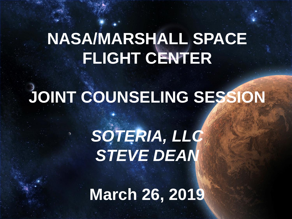### **NASA/MARSHALL SPACE FLIGHT CENTER**

## **JOINT COUNSELING SESSION**

## *SOTERIA, LLC STEVE DEAN*

**March 26, 2019**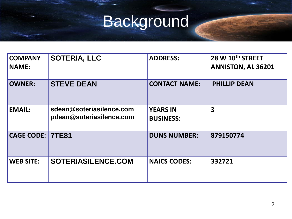# Background

| <b>COMPANY</b><br><b>NAME:</b> | <b>SOTERIA, LLC</b>                                  | <b>ADDRESS:</b>                     | 28 W 10th STREET<br><b>ANNISTON, AL 36201</b> |
|--------------------------------|------------------------------------------------------|-------------------------------------|-----------------------------------------------|
| <b>OWNER:</b>                  | <b>STEVE DEAN</b>                                    | <b>CONTACT NAME:</b>                | <b>PHILLIP DEAN</b>                           |
| <b>EMAIL:</b>                  | sdean@soteriasilence.com<br>pdean@soteriasilence.com | <b>YEARS IN</b><br><b>BUSINESS:</b> | $\overline{\mathbf{3}}$                       |
| <b>CAGE CODE: 7TE81</b>        |                                                      | <b>DUNS NUMBER:</b>                 | 879150774                                     |
| <b>WEB SITE:</b>               | <b>SOTERIASILENCE.COM</b>                            | <b>NAICS CODES:</b>                 | 332721                                        |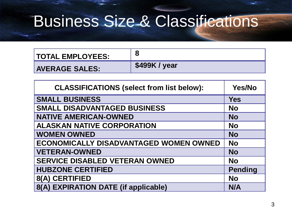### Business Size & Classifications

| <b>TOTAL EMPLOYEES:</b> |               |
|-------------------------|---------------|
| <b>AVERAGE SALES:</b>   | \$499K / year |

| <b>CLASSIFICATIONS (select from list below):</b> | <b>Yes/No</b>  |
|--------------------------------------------------|----------------|
| <b>SMALL BUSINESS</b>                            | <b>Yes</b>     |
| <b>SMALL DISADVANTAGED BUSINESS</b>              | <b>No</b>      |
| <b>NATIVE AMERICAN-OWNED</b>                     | <b>No</b>      |
| <b>ALASKAN NATIVE CORPORATION</b>                | <b>No</b>      |
| <b>WOMEN OWNED</b>                               | <b>No</b>      |
| <b>ECONOMICALLY DISADVANTAGED WOMEN OWNED</b>    | <b>No</b>      |
| <b>VETERAN-OWNED</b>                             | <b>No</b>      |
| <b>SERVICE DISABLED VETERAN OWNED</b>            | <b>No</b>      |
| <b>HUBZONE CERTIFIED</b>                         | <b>Pending</b> |
| 8(A) CERTIFIED                                   | <b>No</b>      |
| 8(A) EXPIRATION DATE (if applicable)             | N/A            |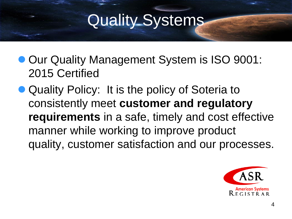### Quality Systems

- Our Quality Management System is ISO 9001: 2015 Certified
- Quality Policy: It is the policy of Soteria to consistently meet **customer and regulatory requirements** in a safe, timely and cost effective manner while working to improve product quality, customer satisfaction and our processes.

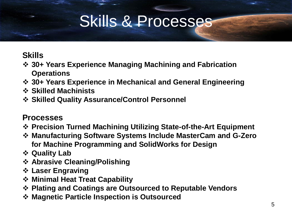### Skills & Processes

#### **Skills**

- **30+ Years Experience Managing Machining and Fabrication Operations**
- **30+ Years Experience in Mechanical and General Engineering**
- **Skilled Machinists**
- **Skilled Quality Assurance/Control Personnel**

#### **Processes**

- **Precision Turned Machining Utilizing State-of-the-Art Equipment**
- **Manufacturing Software Systems Include MasterCam and G-Zero for Machine Programming and SolidWorks for Design**
- **Quality Lab**
- **Abrasive Cleaning/Polishing**
- **Laser Engraving**
- **Minimal Heat Treat Capability**
- **Plating and Coatings are Outsourced to Reputable Vendors**
- **Magnetic Particle Inspection is Outsourced**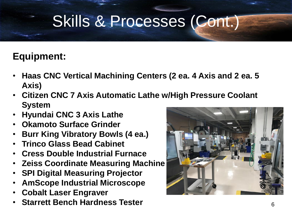### Skills & Processes (Cont.)

#### **Equipment:**

- **Haas CNC Vertical Machining Centers (2 ea. 4 Axis and 2 ea. 5 Axis)**
- **Citizen CNC 7 Axis Automatic Lathe w/High Pressure Coolant System**
- **Hyundai CNC 3 Axis Lathe**
- **Okamoto Surface Grinder**
- **Burr King Vibratory Bowls (4 ea.)**
- **Trinco Glass Bead Cabinet**
- **Cress Double Industrial Furnace**
- **Zeiss Coordinate Measuring Machine**
- **SPI Digital Measuring Projector**
- **AmScope Industrial Microscope**
- **Cobalt Laser Engraver**
- **Starrett Bench Hardness Tester**

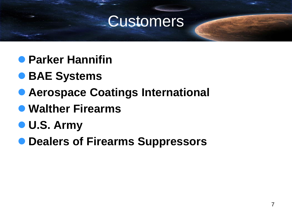### Customers

- **Parker Hannifin**
- **BAE Systems**
- **Aerospace Coatings International**
- **Walther Firearms**
- **U.S. Army**
- **Dealers of Firearms Suppressors**